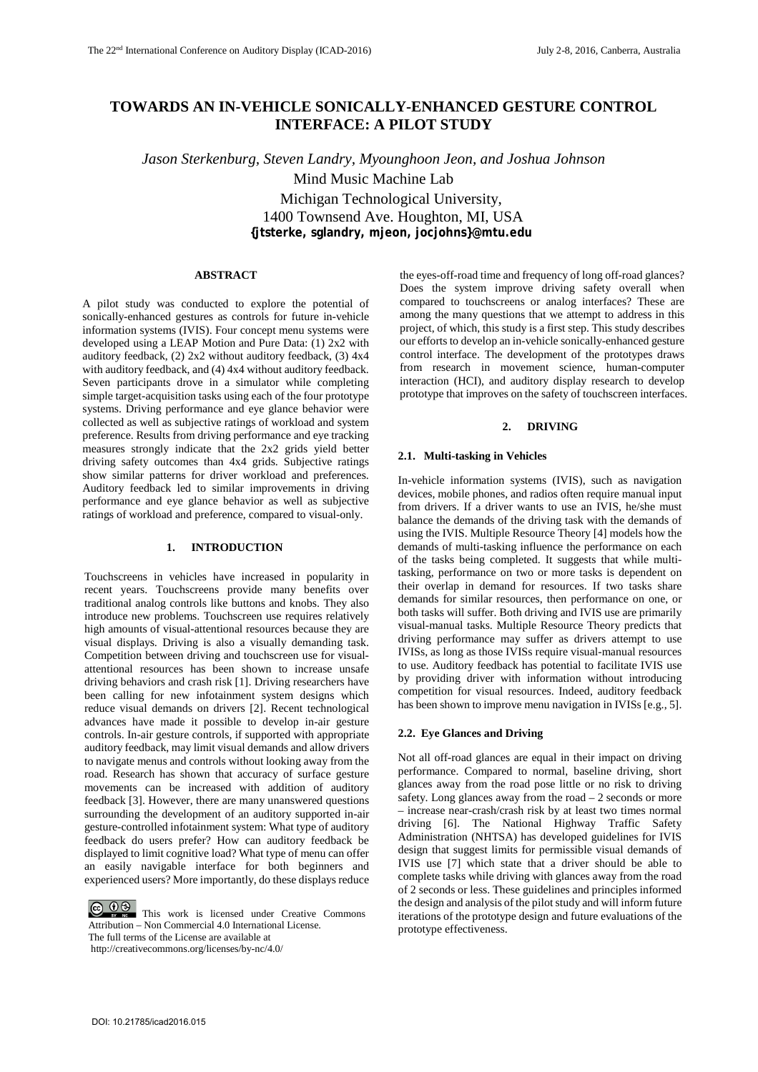# **TOWARDS AN IN-VEHICLE SONICALLY-ENHANCED GESTURE CONTROL INTERFACE: A PILOT STUDY**

*Jason Sterkenburg, Steven Landry, Myounghoon Jeon, and Joshua Johnson*  Mind Music Machine Lab

> Michigan Technological University, 1400 Townsend Ave. Houghton, MI, USA **{jtsterke, sglandry, mjeon, jocjohns}@mtu.edu**

# **ABSTRACT**

A pilot study was conducted to explore the potential of sonically-enhanced gestures as controls for future in-vehicle information systems (IVIS). Four concept menu systems were developed using a LEAP Motion and Pure Data: (1) 2x2 with auditory feedback, (2) 2x2 without auditory feedback, (3) 4x4 with auditory feedback, and (4) 4x4 without auditory feedback. Seven participants drove in a simulator while completing simple target-acquisition tasks using each of the four prototype systems. Driving performance and eye glance behavior were collected as well as subjective ratings of workload and system preference. Results from driving performance and eye tracking measures strongly indicate that the 2x2 grids yield better driving safety outcomes than 4x4 grids. Subjective ratings show similar patterns for driver workload and preferences. Auditory feedback led to similar improvements in driving performance and eye glance behavior as well as subjective ratings of workload and preference, compared to visual-only.

# **1. INTRODUCTION**

Touchscreens in vehicles have increased in popularity in recent years. Touchscreens provide many benefits over traditional analog controls like buttons and knobs. They also introduce new problems. Touchscreen use requires relatively high amounts of visual-attentional resources because they are visual displays. Driving is also a visually demanding task. Competition between driving and touchscreen use for visualattentional resources has been shown to increase unsafe driving behaviors and crash risk [1]. Driving researchers have been calling for new infotainment system designs which reduce visual demands on drivers [2]. Recent technological advances have made it possible to develop in-air gesture controls. In-air gesture controls, if supported with appropriate auditory feedback, may limit visual demands and allow drivers to navigate menus and controls without looking away from the road. Research has shown that accuracy of surface gesture movements can be increased with addition of auditory feedback [3]. However, there are many unanswered questions surrounding the development of an auditory supported in-air gesture-controlled infotainment system: What type of auditory feedback do users prefer? How can auditory feedback be displayed to limit cognitive load? What type of menu can offer an easily navigable interface for both beginners and experienced users? More importantly, do these displays reduce

 $\bigodot_{w}$   $\bigodot_{w}$   $\bigodot_{w}$  This work is licensed under Creative Commons Attribution – Non Commercial 4.0 International License. The full terms of the License are available at http://creativecommons.org/licenses/by-nc/4.0/

the eyes-off-road time and frequency of long off-road glances? Does the system improve driving safety overall when compared to touchscreens or analog interfaces? These are among the many questions that we attempt to address in this project, of which, this study is a first step. This study describes our efforts to develop an in-vehicle sonically-enhanced gesture control interface. The development of the prototypes draws from research in movement science, human-computer interaction (HCI), and auditory display research to develop prototype that improves on the safety of touchscreen interfaces.

# **2. DRIVING**

#### **2.1. Multi-tasking in Vehicles**

In-vehicle information systems (IVIS), such as navigation devices, mobile phones, and radios often require manual input from drivers. If a driver wants to use an IVIS, he/she must balance the demands of the driving task with the demands of using the IVIS. Multiple Resource Theory [4] models how the demands of multi-tasking influence the performance on each of the tasks being completed. It suggests that while multitasking, performance on two or more tasks is dependent on their overlap in demand for resources. If two tasks share demands for similar resources, then performance on one, or both tasks will suffer. Both driving and IVIS use are primarily visual-manual tasks. Multiple Resource Theory predicts that driving performance may suffer as drivers attempt to use IVISs, as long as those IVISs require visual-manual resources to use. Auditory feedback has potential to facilitate IVIS use by providing driver with information without introducing competition for visual resources. Indeed, auditory feedback has been shown to improve menu navigation in IVISs [e.g., 5].

# **2.2. Eye Glances and Driving**

Not all off-road glances are equal in their impact on driving performance. Compared to normal, baseline driving, short glances away from the road pose little or no risk to driving safety. Long glances away from the road  $-2$  seconds or more – increase near-crash/crash risk by at least two times normal driving [6]. The National Highway Traffic Safety Administration (NHTSA) has developed guidelines for IVIS design that suggest limits for permissible visual demands of IVIS use [7] which state that a driver should be able to complete tasks while driving with glances away from the road of 2 seconds or less. These guidelines and principles informed the design and analysis of the pilot study and will inform future iterations of the prototype design and future evaluations of the prototype effectiveness.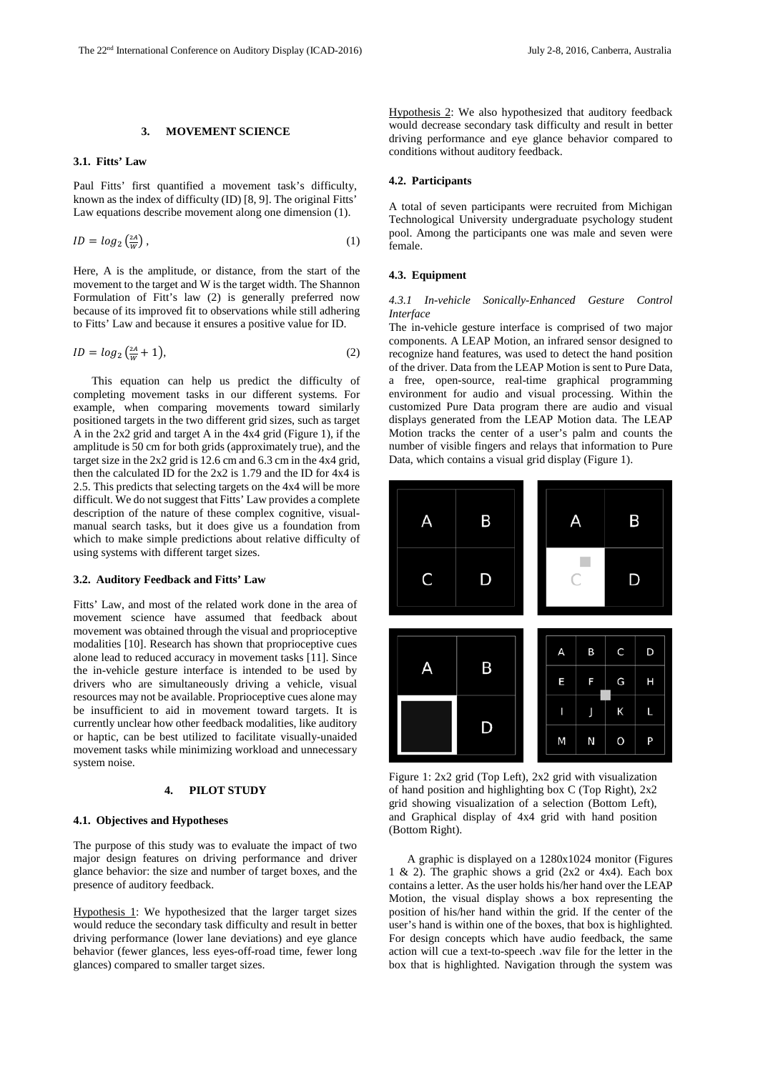#### **3. MOVEMENT SCIENCE**

# **3.1. Fitts' Law**

Paul Fitts' first quantified a movement task's difficulty, known as the index of difficulty (ID) [8, 9]. The original Fitts' Law equations describe movement along one dimension (1).

$$
ID = log_2\left(\frac{2A}{W}\right),\tag{1}
$$

Here, A is the amplitude, or distance, from the start of the movement to the target and W is the target width. The Shannon Formulation of Fitt's law (2) is generally preferred now because of its improved fit to observations while still adhering to Fitts' Law and because it ensures a positive value for ID.

$$
ID = \log_2\left(\frac{2A}{W} + 1\right),\tag{2}
$$

This equation can help us predict the difficulty of completing movement tasks in our different systems. For example, when comparing movements toward similarly positioned targets in the two different grid sizes, such as target A in the 2x2 grid and target A in the 4x4 grid (Figure 1), if the amplitude is 50 cm for both grids (approximately true), and the target size in the 2x2 grid is 12.6 cm and 6.3 cm in the 4x4 grid, then the calculated ID for the 2x2 is 1.79 and the ID for 4x4 is 2.5. This predicts that selecting targets on the 4x4 will be more difficult. We do not suggest that Fitts' Law provides a complete description of the nature of these complex cognitive, visualmanual search tasks, but it does give us a foundation from which to make simple predictions about relative difficulty of using systems with different target sizes.

## **3.2. Auditory Feedback and Fitts' Law**

Fitts' Law, and most of the related work done in the area of movement science have assumed that feedback about movement was obtained through the visual and proprioceptive modalities [10]. Research has shown that proprioceptive cues alone lead to reduced accuracy in movement tasks [11]. Since the in-vehicle gesture interface is intended to be used by drivers who are simultaneously driving a vehicle, visual resources may not be available. Proprioceptive cues alone may be insufficient to aid in movement toward targets. It is currently unclear how other feedback modalities, like auditory or haptic, can be best utilized to facilitate visually-unaided movement tasks while minimizing workload and unnecessary system noise.

# **4. PILOT STUDY**

#### **4.1. Objectives and Hypotheses**

The purpose of this study was to evaluate the impact of two major design features on driving performance and driver glance behavior: the size and number of target boxes, and the presence of auditory feedback.

Hypothesis 1: We hypothesized that the larger target sizes would reduce the secondary task difficulty and result in better driving performance (lower lane deviations) and eye glance behavior (fewer glances, less eyes-off-road time, fewer long glances) compared to smaller target sizes.

Hypothesis 2: We also hypothesized that auditory feedback would decrease secondary task difficulty and result in better driving performance and eye glance behavior compared to conditions without auditory feedback.

### **4.2. Participants**

A total of seven participants were recruited from Michigan Technological University undergraduate psychology student pool. Among the participants one was male and seven were female.

### **4.3. Equipment**

### *4.3.1 In-vehicle Sonically-Enhanced Gesture Control Interface*

The in-vehicle gesture interface is comprised of two major components. A LEAP Motion, an infrared sensor designed to recognize hand features, was used to detect the hand position of the driver. Data from the LEAP Motion is sent to Pure Data, a free, open-source, real-time graphical programming environment for audio and visual processing. Within the customized Pure Data program there are audio and visual displays generated from the LEAP Motion data. The LEAP Motion tracks the center of a user's palm and counts the number of visible fingers and relays that information to Pure Data, which contains a visual grid display (Figure 1).



Figure 1: 2x2 grid (Top Left), 2x2 grid with visualization of hand position and highlighting box C (Top Right), 2x2 grid showing visualization of a selection (Bottom Left), and Graphical display of 4x4 grid with hand position (Bottom Right).

A graphic is displayed on a 1280x1024 monitor (Figures 1 & 2). The graphic shows a grid  $(2x2 \text{ or } 4x4)$ . Each box contains a letter. As the user holds his/her hand over the LEAP Motion, the visual display shows a box representing the position of his/her hand within the grid. If the center of the user's hand is within one of the boxes, that box is highlighted. For design concepts which have audio feedback, the same action will cue a text-to-speech .wav file for the letter in the box that is highlighted. Navigation through the system was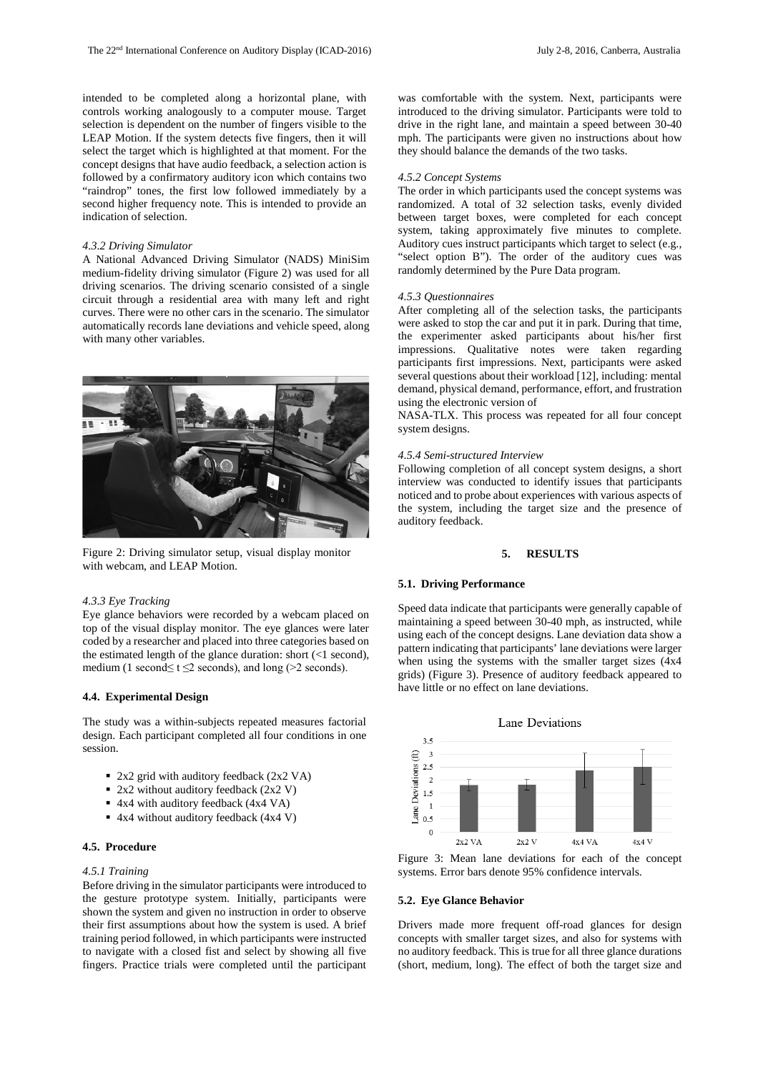intended to be completed along a horizontal plane, with controls working analogously to a computer mouse. Target selection is dependent on the number of fingers visible to the LEAP Motion. If the system detects five fingers, then it will select the target which is highlighted at that moment. For the concept designs that have audio feedback, a selection action is followed by a confirmatory auditory icon which contains two "raindrop" tones, the first low followed immediately by a second higher frequency note. This is intended to provide an indication of selection.

### *4.3.2 Driving Simulator*

A National Advanced Driving Simulator (NADS) MiniSim medium-fidelity driving simulator (Figure 2) was used for all driving scenarios. The driving scenario consisted of a single circuit through a residential area with many left and right curves. There were no other cars in the scenario. The simulator automatically records lane deviations and vehicle speed, along with many other variables.



Figure 2: Driving simulator setup, visual display monitor with webcam, and LEAP Motion.

### *4.3.3 Eye Tracking*

Eye glance behaviors were recorded by a webcam placed on top of the visual display monitor. The eye glances were later coded by a researcher and placed into three categories based on the estimated length of the glance duration: short  $\ll 1$  second), medium (1 second $\leq t \leq 2$  seconds), and long (>2 seconds).

# **4.4. Experimental Design**

The study was a within-subjects repeated measures factorial design. Each participant completed all four conditions in one session.

- 2x2 grid with auditory feedback (2x2 VA)
- $\blacksquare$  2x2 without auditory feedback (2x2 V)
- 4x4 with auditory feedback (4x4 VA)
- 4x4 without auditory feedback (4x4 V)

#### **4.5. Procedure**

### *4.5.1 Training*

Before driving in the simulator participants were introduced to the gesture prototype system. Initially, participants were shown the system and given no instruction in order to observe their first assumptions about how the system is used. A brief training period followed, in which participants were instructed to navigate with a closed fist and select by showing all five fingers. Practice trials were completed until the participant was comfortable with the system. Next, participants were introduced to the driving simulator. Participants were told to drive in the right lane, and maintain a speed between 30-40 mph. The participants were given no instructions about how they should balance the demands of the two tasks.

### *4.5.2 Concept Systems*

The order in which participants used the concept systems was randomized. A total of 32 selection tasks, evenly divided between target boxes, were completed for each concept system, taking approximately five minutes to complete. Auditory cues instruct participants which target to select (e.g., "select option B"). The order of the auditory cues was randomly determined by the Pure Data program.

#### *4.5.3 Questionnaires*

After completing all of the selection tasks, the participants were asked to stop the car and put it in park. During that time, the experimenter asked participants about his/her first impressions. Qualitative notes were taken regarding participants first impressions. Next, participants were asked several questions about their workload [12], including: mental demand, physical demand, performance, effort, and frustration using the electronic version of

NASA-TLX. This process was repeated for all four concept system designs.

#### *4.5.4 Semi-structured Interview*

Following completion of all concept system designs, a short interview was conducted to identify issues that participants noticed and to probe about experiences with various aspects of the system, including the target size and the presence of auditory feedback.

## **5. RESULTS**

#### **5.1. Driving Performance**

Speed data indicate that participants were generally capable of maintaining a speed between 30-40 mph, as instructed, while using each of the concept designs. Lane deviation data show a pattern indicating that participants' lane deviations were larger when using the systems with the smaller target sizes (4x4 grids) (Figure 3). Presence of auditory feedback appeared to have little or no effect on lane deviations.



Figure 3: Mean lane deviations for each of the concept systems. Error bars denote 95% confidence intervals.

# **5.2. Eye Glance Behavior**

Drivers made more frequent off-road glances for design concepts with smaller target sizes, and also for systems with no auditory feedback. This is true for all three glance durations (short, medium, long). The effect of both the target size and